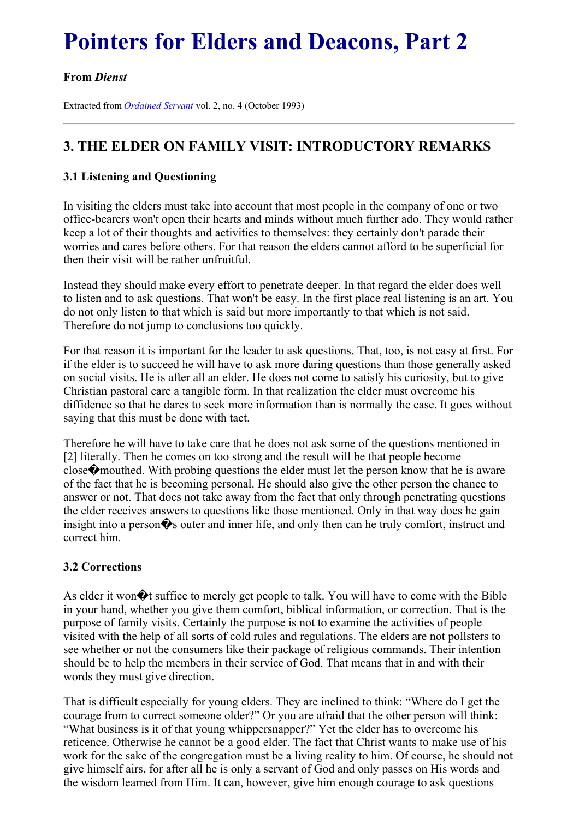# **Pointers for Elders and Deacons, Part 2**

### **From** *Dienst*

Extracted from *[Ordained](../../Ordained_servant.html) Servant* vol. 2, no. 4 (October 1993)

## **3. THE ELDER ON FAMILY VISIT: INTRODUCTORY REMARKS**

#### **3.1 Listening and Questioning**

In visiting the elders must take into account that most people in the company of one or two office-bearers won't open their hearts and minds without much further ado. They would rather keep a lot of their thoughts and activities to themselves: they certainly don't parade their worries and cares before others. For that reason the elders cannot afford to be superficial for then their visit will be rather unfruitful.

Instead they should make every effort to penetrate deeper. In that regard the elder does well to listen and to ask questions. That won't be easy. In the first place real listening is an art. You do not only listen to that which is said but more importantly to that which is not said. Therefore do not jump to conclusions too quickly.

For that reason it is important for the leader to ask questions. That, too, is not easy at first. For if the elder is to succeed he will have to ask more daring questions than those generally asked on social visits. He is after all an elder. He does not come to satisfy his curiosity, but to give Christian pastoral care a tangible form. In that realization the elder must overcome his diffidence so that he dares to seek more information than is normally the case. It goes without saying that this must be done with tact.

Therefore he will have to take care that he does not ask some of the questions mentioned in [2] literally. Then he comes on too strong and the result will be that people become close�mouthed. With probing questions the elder must let the person know that he is aware of the fact that he is becoming personal. He should also give the other person the chance to answer or not. That does not take away from the fact that only through penetrating questions the elder receives answers to questions like those mentioned. Only in that way does he gain insight into a person�s outer and inner life, and only then can he truly comfort, instruct and correct him.

#### **3.2 Corrections**

As elder it won $\hat{\mathbf{\diamond}}$ t suffice to merely get people to talk. You will have to come with the Bible in your hand, whether you give them comfort, biblical information, or correction. That is the purpose of family visits. Certainly the purpose is not to examine the activities of people visited with the help of all sorts of cold rules and regulations. The elders are not pollsters to see whether or not the consumers like their package of religious commands. Their intention should be to help the members in their service of God. That means that in and with their words they must give direction.

That is difficult especially for young elders. They are inclined to think: "Where do I get the courage from to correct someone older?" Or you are afraid that the other person will think: "What business is it of that young whippersnapper?" Yet the elder has to overcome his reticence. Otherwise he cannot be a good elder. The fact that Christ wants to make use of his work for the sake of the congregation must be a living reality to him. Of course, he should not give himself airs, for after all he is only a servant of God and only passes on His words and the wisdom learned from Him. It can, however, give him enough courage to ask questions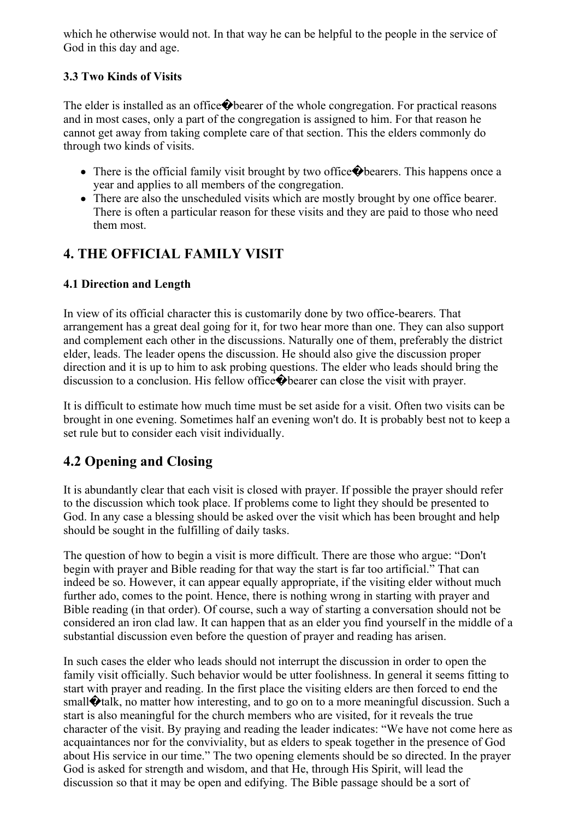which he otherwise would not. In that way he can be helpful to the people in the service of God in this day and age.

### **3.3 Two Kinds of Visits**

The elder is installed as an office  $\bigcirc$  bearer of the whole congregation. For practical reasons and in most cases, only a part of the congregation is assigned to him. For that reason he cannot get away from taking complete care of that section. This the elders commonly do through two kinds of visits.

- There is the official family visit brought by two office  $\bigcirc$  bearers. This happens once a year and applies to all members of the congregation.
- There are also the unscheduled visits which are mostly brought by one office bearer. There is often a particular reason for these visits and they are paid to those who need them most.

# **4. THE OFFICIAL FAMILY VISIT**

### **4.1 Direction and Length**

In view of its official character this is customarily done by two office-bearers. That arrangement has a great deal going for it, for two hear more than one. They can also support and complement each other in the discussions. Naturally one of them, preferably the district elder, leads. The leader opens the discussion. He should also give the discussion proper direction and it is up to him to ask probing questions. The elder who leads should bring the discussion to a conclusion. His fellow office�bearer can close the visit with prayer.

It is difficult to estimate how much time must be set aside for a visit. Often two visits can be brought in one evening. Sometimes half an evening won't do. It is probably best not to keep a set rule but to consider each visit individually.

# **4.2 Opening and Closing**

It is abundantly clear that each visit is closed with prayer. If possible the prayer should refer to the discussion which took place. If problems come to light they should be presented to God. In any case a blessing should be asked over the visit which has been brought and help should be sought in the fulfilling of daily tasks.

The question of how to begin a visit is more difficult. There are those who argue: "Don't begin with prayer and Bible reading for that way the start is far too artificial." That can indeed be so. However, it can appear equally appropriate, if the visiting elder without much further ado, comes to the point. Hence, there is nothing wrong in starting with prayer and Bible reading (in that order). Of course, such a way of starting a conversation should not be considered an iron clad law. It can happen that as an elder you find yourself in the middle of a substantial discussion even before the question of prayer and reading has arisen.

In such cases the elder who leads should not interrupt the discussion in order to open the family visit officially. Such behavior would be utter foolishness. In general it seems fitting to start with prayer and reading. In the first place the visiting elders are then forced to end the small  $\bigcirc$  talk, no matter how interesting, and to go on to a more meaningful discussion. Such a start is also meaningful for the church members who are visited, for it reveals the true character of the visit. By praying and reading the leader indicates: "We have not come here as acquaintances nor for the conviviality, but as elders to speak together in the presence of God about His service in our time." The two opening elements should be so directed. In the prayer God is asked for strength and wisdom, and that He, through His Spirit, will lead the discussion so that it may be open and edifying. The Bible passage should be a sort of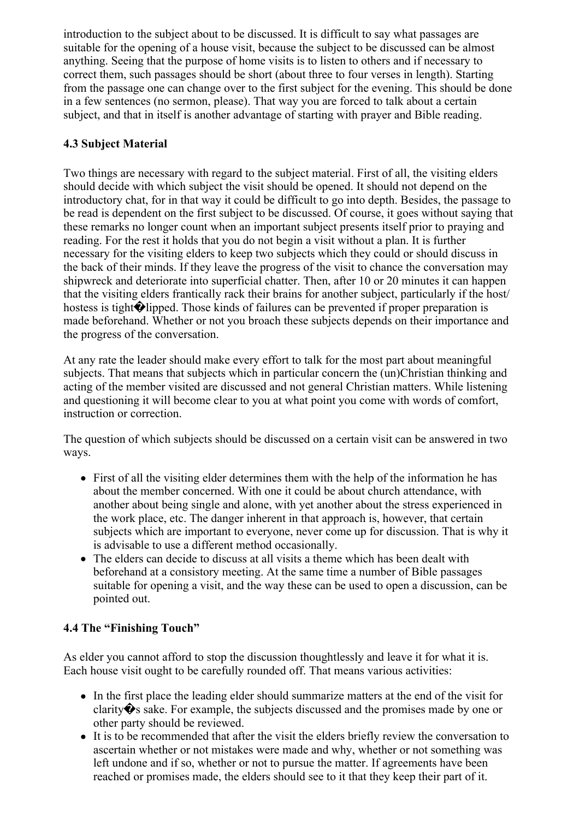introduction to the subject about to be discussed. It is difficult to say what passages are suitable for the opening of a house visit, because the subject to be discussed can be almost anything. Seeing that the purpose of home visits is to listen to others and if necessary to correct them, such passages should be short (about three to four verses in length). Starting from the passage one can change over to the first subject for the evening. This should be done in a few sentences (no sermon, please). That way you are forced to talk about a certain subject, and that in itself is another advantage of starting with prayer and Bible reading.

### **4.3 Subject Material**

Two things are necessary with regard to the subject material. First of all, the visiting elders should decide with which subject the visit should be opened. It should not depend on the introductory chat, for in that way it could be difficult to go into depth. Besides, the passage to be read is dependent on the first subject to be discussed. Of course, it goes without saying that these remarks no longer count when an important subject presents itself prior to praying and reading. For the rest it holds that you do not begin a visit without a plan. It is further necessary for the visiting elders to keep two subjects which they could or should discuss in the back of their minds. If they leave the progress of the visit to chance the conversation may shipwreck and deteriorate into superficial chatter. Then, after 10 or 20 minutes it can happen that the visiting elders frantically rack their brains for another subject, particularly if the host/ hostess is tight $\bigcirc$ lipped. Those kinds of failures can be prevented if proper preparation is made beforehand. Whether or not you broach these subjects depends on their importance and the progress of the conversation.

At any rate the leader should make every effort to talk for the most part about meaningful subjects. That means that subjects which in particular concern the (un)Christian thinking and acting of the member visited are discussed and not general Christian matters. While listening and questioning it will become clear to you at what point you come with words of comfort, instruction or correction.

The question of which subjects should be discussed on a certain visit can be answered in two ways.

- First of all the visiting elder determines them with the help of the information he has about the member concerned. With one it could be about church attendance, with another about being single and alone, with yet another about the stress experienced in the work place, etc. The danger inherent in that approach is, however, that certain subjects which are important to everyone, never come up for discussion. That is why it is advisable to use a different method occasionally.
- The elders can decide to discuss at all visits a theme which has been dealt with beforehand at a consistory meeting. At the same time a number of Bible passages suitable for opening a visit, and the way these can be used to open a discussion, can be pointed out.

### **4.4 The "Finishing Touch"**

As elder you cannot afford to stop the discussion thoughtlessly and leave it for what it is. Each house visit ought to be carefully rounded off. That means various activities:

- In the first place the leading elder should summarize matters at the end of the visit for clarity  $\hat{\mathbf{\Theta}}$ s sake. For example, the subjects discussed and the promises made by one or other party should be reviewed.
- It is to be recommended that after the visit the elders briefly review the conversation to ascertain whether or not mistakes were made and why, whether or not something was left undone and if so, whether or not to pursue the matter. If agreements have been reached or promises made, the elders should see to it that they keep their part of it.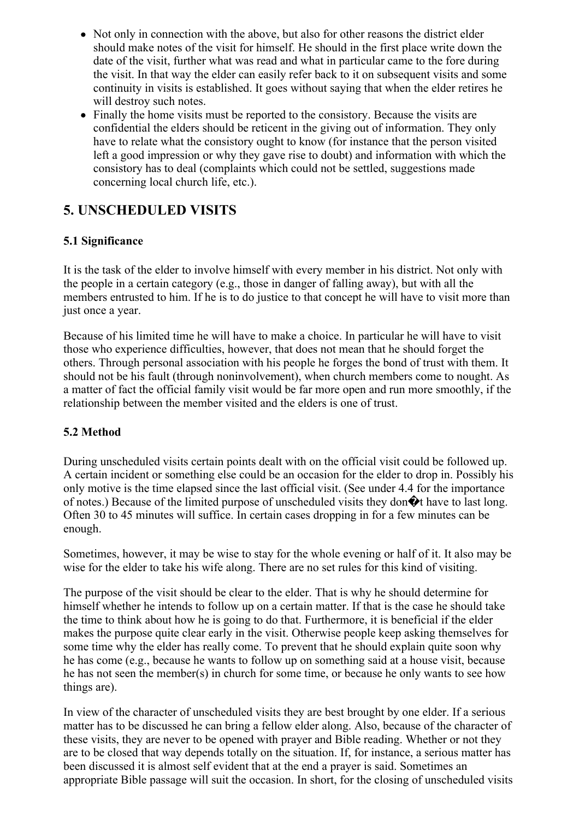- Not only in connection with the above, but also for other reasons the district elder should make notes of the visit for himself. He should in the first place write down the date of the visit, further what was read and what in particular came to the fore during the visit. In that way the elder can easily refer back to it on subsequent visits and some continuity in visits is established. It goes without saying that when the elder retires he will destroy such notes.
- Finally the home visits must be reported to the consistory. Because the visits are confidential the elders should be reticent in the giving out of information. They only have to relate what the consistory ought to know (for instance that the person visited left a good impression or why they gave rise to doubt) and information with which the consistory has to deal (complaints which could not be settled, suggestions made concerning local church life, etc.).

# **5. UNSCHEDULED VISITS**

### **5.1 Significance**

It is the task of the elder to involve himself with every member in his district. Not only with the people in a certain category (e.g., those in danger of falling away), but with all the members entrusted to him. If he is to do justice to that concept he will have to visit more than just once a year.

Because of his limited time he will have to make a choice. In particular he will have to visit those who experience difficulties, however, that does not mean that he should forget the others. Through personal association with his people he forges the bond of trust with them. It should not be his fault (through noninvolvement), when church members come to nought. As a matter of fact the official family visit would be far more open and run more smoothly, if the relationship between the member visited and the elders is one of trust.

### **5.2 Method**

During unscheduled visits certain points dealt with on the official visit could be followed up. A certain incident or something else could be an occasion for the elder to drop in. Possibly his only motive is the time elapsed since the last official visit. (See under 4.4 for the importance of notes.) Because of the limited purpose of unscheduled visits they don $\hat{\mathbf{\diamond}}$  thave to last long. Often 30 to 45 minutes will suffice. In certain cases dropping in for a few minutes can be enough.

Sometimes, however, it may be wise to stay for the whole evening or half of it. It also may be wise for the elder to take his wife along. There are no set rules for this kind of visiting.

The purpose of the visit should be clear to the elder. That is why he should determine for himself whether he intends to follow up on a certain matter. If that is the case he should take the time to think about how he is going to do that. Furthermore, it is beneficial if the elder makes the purpose quite clear early in the visit. Otherwise people keep asking themselves for some time why the elder has really come. To prevent that he should explain quite soon why he has come (e.g., because he wants to follow up on something said at a house visit, because he has not seen the member(s) in church for some time, or because he only wants to see how things are).

In view of the character of unscheduled visits they are best brought by one elder. If a serious matter has to be discussed he can bring a fellow elder along. Also, because of the character of these visits, they are never to be opened with prayer and Bible reading. Whether or not they are to be closed that way depends totally on the situation. If, for instance, a serious matter has been discussed it is almost self evident that at the end a prayer is said. Sometimes an appropriate Bible passage will suit the occasion. In short, for the closing of unscheduled visits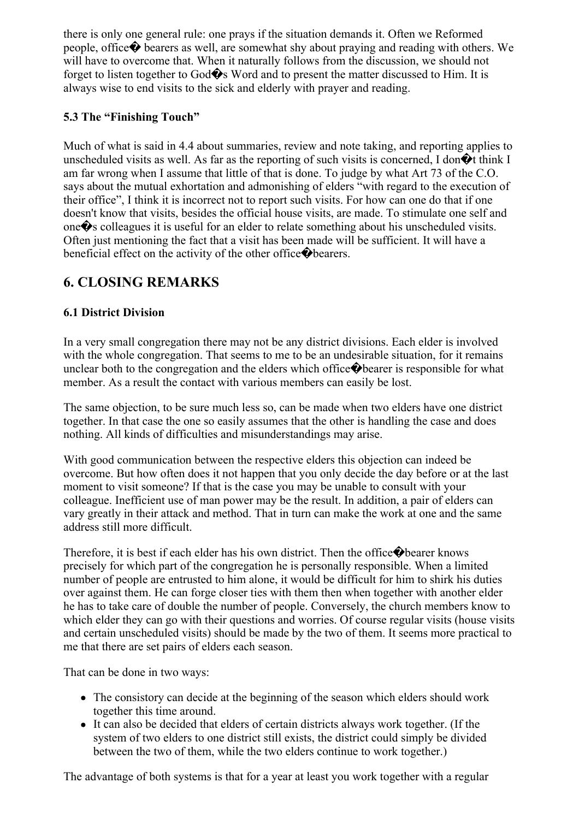there is only one general rule: one prays if the situation demands it. Often we Reformed people, office� bearers as well, are somewhat shy about praying and reading with others. We will have to overcome that. When it naturally follows from the discussion, we should not forget to listen together to God $\hat{\mathbf{\diamond}}$ s Word and to present the matter discussed to Him. It is always wise to end visits to the sick and elderly with prayer and reading.

### **5.3 The "Finishing Touch"**

Much of what is said in 4.4 about summaries, review and note taking, and reporting applies to unscheduled visits as well. As far as the reporting of such visits is concerned, I don $\hat{\mathbf{\diamond}}$ t think I am far wrong when I assume that little of that is done. To judge by what Art 73 of the C.O. says about the mutual exhortation and admonishing of elders "with regard to the execution of their office", I think it is incorrect not to report such visits. For how can one do that if one doesn't know that visits, besides the official house visits, are made. To stimulate one self and one�s colleagues it is useful for an elder to relate something about his unscheduled visits. Often just mentioning the fact that a visit has been made will be sufficient. It will have a beneficial effect on the activity of the other office  $\bigcirc$  bearers.

# **6. CLOSING REMARKS**

### **6.1 District Division**

In a very small congregation there may not be any district divisions. Each elder is involved with the whole congregation. That seems to me to be an undesirable situation, for it remains unclear both to the congregation and the elders which office  $\bigcirc$  bearer is responsible for what member. As a result the contact with various members can easily be lost.

The same objection, to be sure much less so, can be made when two elders have one district together. In that case the one so easily assumes that the other is handling the case and does nothing. All kinds of difficulties and misunderstandings may arise.

With good communication between the respective elders this objection can indeed be overcome. But how often does it not happen that you only decide the day before or at the last moment to visit someone? If that is the case you may be unable to consult with your colleague. Inefficient use of man power may be the result. In addition, a pair of elders can vary greatly in their attack and method. That in turn can make the work at one and the same address still more difficult.

Therefore, it is best if each elder has his own district. Then the office  $\bigcirc$  bearer knows precisely for which part of the congregation he is personally responsible. When a limited number of people are entrusted to him alone, it would be difficult for him to shirk his duties over against them. He can forge closer ties with them then when together with another elder he has to take care of double the number of people. Conversely, the church members know to which elder they can go with their questions and worries. Of course regular visits (house visits and certain unscheduled visits) should be made by the two of them. It seems more practical to me that there are set pairs of elders each season.

That can be done in two ways:

- The consistory can decide at the beginning of the season which elders should work together this time around.
- It can also be decided that elders of certain districts always work together. (If the system of two elders to one district still exists, the district could simply be divided between the two of them, while the two elders continue to work together.)

The advantage of both systems is that for a year at least you work together with a regular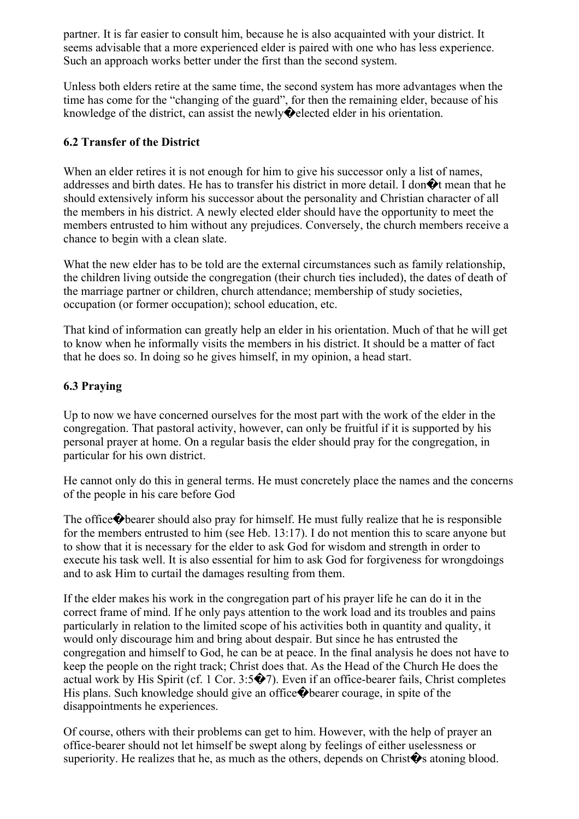partner. It is far easier to consult him, because he is also acquainted with your district. It seems advisable that a more experienced elder is paired with one who has less experience. Such an approach works better under the first than the second system.

Unless both elders retire at the same time, the second system has more advantages when the time has come for the "changing of the guard", for then the remaining elder, because of his knowledge of the district, can assist the newly�elected elder in his orientation.

#### **6.2 Transfer of the District**

When an elder retires it is not enough for him to give his successor only a list of names, addresses and birth dates. He has to transfer his district in more detail. I don $\hat{\mathbf{\diamond}}$ t mean that he should extensively inform his successor about the personality and Christian character of all the members in his district. A newly elected elder should have the opportunity to meet the members entrusted to him without any prejudices. Conversely, the church members receive a chance to begin with a clean slate.

What the new elder has to be told are the external circumstances such as family relationship, the children living outside the congregation (their church ties included), the dates of death of the marriage partner or children, church attendance; membership of study societies, occupation (or former occupation); school education, etc.

That kind of information can greatly help an elder in his orientation. Much of that he will get to know when he informally visits the members in his district. It should be a matter of fact that he does so. In doing so he gives himself, in my opinion, a head start.

### **6.3 Praying**

Up to now we have concerned ourselves for the most part with the work of the elder in the congregation. That pastoral activity, however, can only be fruitful if it is supported by his personal prayer at home. On a regular basis the elder should pray for the congregation, in particular for his own district.

He cannot only do this in general terms. He must concretely place the names and the concerns of the people in his care before God

The office�bearer should also pray for himself. He must fully realize that he is responsible for the members entrusted to him (see Heb. 13:17). I do not mention this to scare anyone but to show that it is necessary for the elder to ask God for wisdom and strength in order to execute his task well. It is also essential for him to ask God for forgiveness for wrongdoings and to ask Him to curtail the damages resulting from them.

If the elder makes his work in the congregation part of his prayer life he can do it in the correct frame of mind. If he only pays attention to the work load and its troubles and pains particularly in relation to the limited scope of his activities both in quantity and quality, it would only discourage him and bring about despair. But since he has entrusted the congregation and himself to God, he can be at peace. In the final analysis he does not have to keep the people on the right track; Christ does that. As the Head of the Church He does the actual work by His Spirit (cf. 1 Cor. 3:5�7). Even if an office-bearer fails, Christ completes His plans. Such knowledge should give an office�bearer courage, in spite of the disappointments he experiences.

Of course, others with their problems can get to him. However, with the help of prayer an office-bearer should not let himself be swept along by feelings of either uselessness or superiority. He realizes that he, as much as the others, depends on Christ $\hat{\mathbf{\diamond}}$  atoning blood.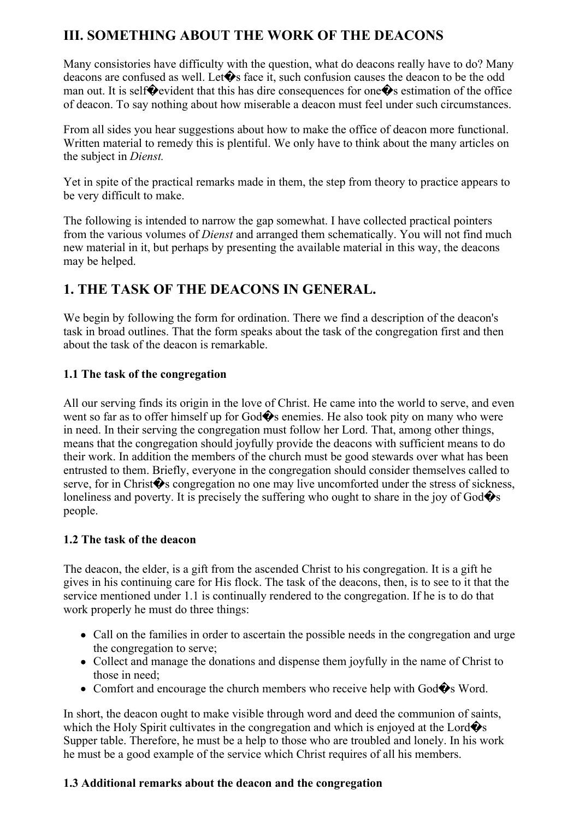# **III. SOMETHING ABOUT THE WORK OF THE DEACONS**

Many consistories have difficulty with the question, what do deacons really have to do? Many deacons are confused as well. Let $\bullet$ s face it, such confusion causes the deacon to be the odd man out. It is self $\bullet$  evident that this has dire consequences for one $\bullet$ s estimation of the office of deacon. To say nothing about how miserable a deacon must feel under such circumstances.

From all sides you hear suggestions about how to make the office of deacon more functional. Written material to remedy this is plentiful. We only have to think about the many articles on the subject in *Dienst.*

Yet in spite of the practical remarks made in them, the step from theory to practice appears to be very difficult to make.

The following is intended to narrow the gap somewhat. I have collected practical pointers from the various volumes of *Dienst* and arranged them schematically. You will not find much new material in it, but perhaps by presenting the available material in this way, the deacons may be helped.

# **1. THE TASK OF THE DEACONS IN GENERAL.**

We begin by following the form for ordination. There we find a description of the deacon's task in broad outlines. That the form speaks about the task of the congregation first and then about the task of the deacon is remarkable.

#### **1.1 The task of the congregation**

All our serving finds its origin in the love of Christ. He came into the world to serve, and even went so far as to offer himself up for  $God \diamondsuit$  enemies. He also took pity on many who were in need. In their serving the congregation must follow her Lord. That, among other things, means that the congregation should joyfully provide the deacons with sufficient means to do their work. In addition the members of the church must be good stewards over what has been entrusted to them. Briefly, everyone in the congregation should consider themselves called to serve, for in Christ $\hat{\mathbf{\bullet}}$ s congregation no one may live uncomforted under the stress of sickness, loneliness and poverty. It is precisely the suffering who ought to share in the joy of  $God \diamondsuit$ s people.

#### **1.2 The task of the deacon**

The deacon, the elder, is a gift from the ascended Christ to his congregation. It is a gift he gives in his continuing care for His flock. The task of the deacons, then, is to see to it that the service mentioned under 1.1 is continually rendered to the congregation. If he is to do that work properly he must do three things:

- Call on the families in order to ascertain the possible needs in the congregation and urge the congregation to serve;
- Collect and manage the donations and dispense them joyfully in the name of Christ to those in need;
- Comfort and encourage the church members who receive help with God $\hat{\mathbf{\diamond}}$ s Word.

In short, the deacon ought to make visible through word and deed the communion of saints, which the Holy Spirit cultivates in the congregation and which is enjoyed at the Lord $\hat{\mathbf{\diamond}}$ s Supper table. Therefore, he must be a help to those who are troubled and lonely. In his work he must be a good example of the service which Christ requires of all his members.

### **1.3 Additional remarks about the deacon and the congregation**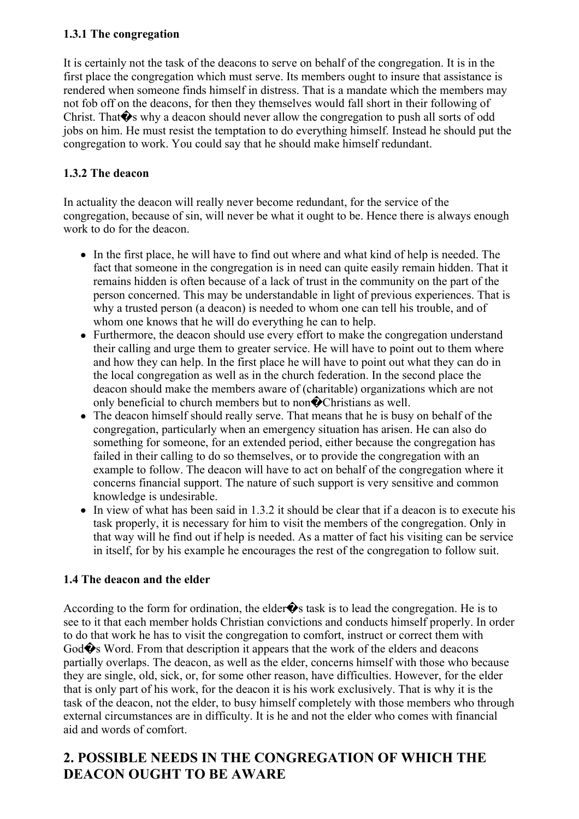### **1.3.1 The congregation**

It is certainly not the task of the deacons to serve on behalf of the congregation. It is in the first place the congregation which must serve. Its members ought to insure that assistance is rendered when someone finds himself in distress. That is a mandate which the members may not fob off on the deacons, for then they themselves would fall short in their following of Christ. That  $\hat{\mathbf{\Phi}}$ s why a deacon should never allow the congregation to push all sorts of odd jobs on him. He must resist the temptation to do everything himself. Instead he should put the congregation to work. You could say that he should make himself redundant.

### **1.3.2 The deacon**

In actuality the deacon will really never become redundant, for the service of the congregation, because of sin, will never be what it ought to be. Hence there is always enough work to do for the deacon.

- In the first place, he will have to find out where and what kind of help is needed. The fact that someone in the congregation is in need can quite easily remain hidden. That it remains hidden is often because of a lack of trust in the community on the part of the person concerned. This may be understandable in light of previous experiences. That is why a trusted person (a deacon) is needed to whom one can tell his trouble, and of whom one knows that he will do everything he can to help.
- Furthermore, the deacon should use every effort to make the congregation understand their calling and urge them to greater service. He will have to point out to them where and how they can help. In the first place he will have to point out what they can do in the local congregation as well as in the church federation. In the second place the deacon should make the members aware of (charitable) organizations which are not only beneficial to church members but to non�Christians as well.
- The deacon himself should really serve. That means that he is busy on behalf of the congregation, particularly when an emergency situation has arisen. He can also do something for someone, for an extended period, either because the congregation has failed in their calling to do so themselves, or to provide the congregation with an example to follow. The deacon will have to act on behalf of the congregation where it concerns financial support. The nature of such support is very sensitive and common knowledge is undesirable.
- In view of what has been said in 1.3.2 it should be clear that if a deacon is to execute his task properly, it is necessary for him to visit the members of the congregation. Only in that way will he find out if help is needed. As a matter of fact his visiting can be service in itself, for by his example he encourages the rest of the congregation to follow suit.

### **1.4 The deacon and the elder**

According to the form for ordination, the elder $\hat{\mathbf{\bullet}}$ s task is to lead the congregation. He is to see to it that each member holds Christian convictions and conducts himself properly. In order to do that work he has to visit the congregation to comfort, instruct or correct them with God�s Word. From that description it appears that the work of the elders and deacons partially overlaps. The deacon, as well as the elder, concerns himself with those who because they are single, old, sick, or, for some other reason, have difficulties. However, for the elder that is only part of his work, for the deacon it is his work exclusively. That is why it is the task of the deacon, not the elder, to busy himself completely with those members who through external circumstances are in difficulty. It is he and not the elder who comes with financial aid and words of comfort.

# **2. POSSIBLE NEEDS IN THE CONGREGATION OF WHICH THE DEACON OUGHT TO BE AWARE**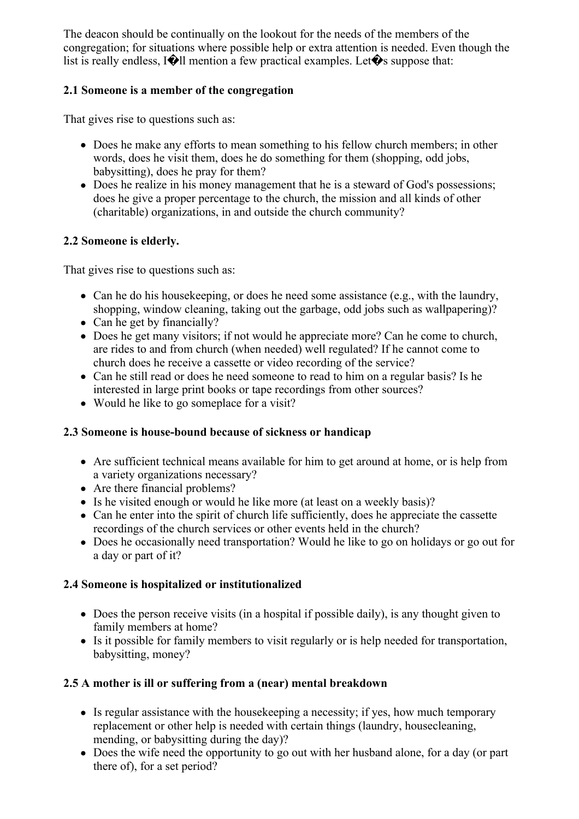The deacon should be continually on the lookout for the needs of the members of the congregation; for situations where possible help or extra attention is needed. Even though the list is really endless,  $\left[ \bigotimes \right]$ ll mention a few practical examples. Let $\bigcirc$ s suppose that:

### **2.1 Someone is a member of the congregation**

That gives rise to questions such as:

- Does he make any efforts to mean something to his fellow church members; in other words, does he visit them, does he do something for them (shopping, odd jobs, babysitting), does he pray for them?
- Does he realize in his money management that he is a steward of God's possessions; does he give a proper percentage to the church, the mission and all kinds of other (charitable) organizations, in and outside the church community?

### **2.2 Someone is elderly.**

That gives rise to questions such as:

- Can he do his house keeping, or does he need some assistance (e.g., with the laundry, shopping, window cleaning, taking out the garbage, odd jobs such as wallpapering)?
- Can he get by financially?
- Does he get many visitors; if not would he appreciate more? Can he come to church, are rides to and from church (when needed) well regulated? If he cannot come to church does he receive a cassette or video recording of the service?
- Can he still read or does he need someone to read to him on a regular basis? Is he interested in large print books or tape recordings from other sources?
- Would he like to go someplace for a visit?

### **2.3 Someone is house-bound because of sickness or handicap**

- Are sufficient technical means available for him to get around at home, or is help from a variety organizations necessary?
- Are there financial problems?
- Is he visited enough or would he like more (at least on a weekly basis)?
- Can he enter into the spirit of church life sufficiently, does he appreciate the cassette recordings of the church services or other events held in the church?
- Does he occasionally need transportation? Would he like to go on holidays or go out for a day or part of it?

### **2.4 Someone is hospitalized or institutionalized**

- Does the person receive visits (in a hospital if possible daily), is any thought given to family members at home?
- Is it possible for family members to visit regularly or is help needed for transportation, babysitting, money?

### **2.5 A mother is ill or suffering from a (near) mental breakdown**

- Is regular assistance with the house keeping a necessity; if yes, how much temporary replacement or other help is needed with certain things (laundry, housecleaning, mending, or babysitting during the day)?
- Does the wife need the opportunity to go out with her husband alone, for a day (or part there of), for a set period?